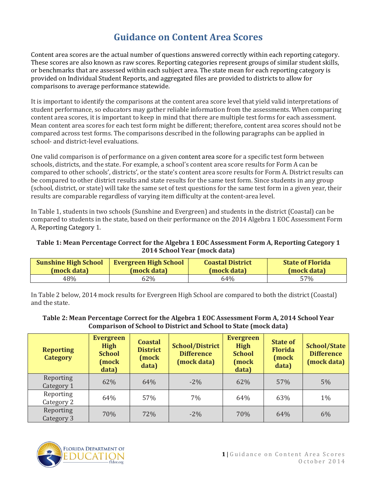## **Guidance on Content Area Scores**

Content area scores are the actual number of questions answered correctly within each reporting category. These scores are also known as raw scores. Reporting categories represent groups of similar student skills, or benchmarks that are assessed within each subject area. The state mean for each reporting category is provided on Individual Student Reports, and aggregated files are provided to districts to allow for comparisons to average performance statewide.

It is important to identify the comparisons at the content area score level that yield valid interpretations of student performance, so educators may gather reliable information from the assessments. When comparing content area scores, it is important to keep in mind that there are multiple test forms for each assessment. Mean content area scores for each test form might be different; therefore, content area scores should not be compared across test forms. The comparisons described in the following paragraphs can be applied in school- and district-level evaluations.

One valid comparison is of performance on a given content area score for a specific test form between schools, districts, and the state. For example, a school's content area score results for Form A can be compared to other schools', districts', or the state's content area score results for Form A. District results can be compared to other district results and state results for the same test form. Since students in any group (school, district, or state) will take the same set of test questions for the same test form in a given year, their results are comparable regardless of varying item difficulty at the content-area level.

In Table 1, students in two schools (Sunshine and Evergreen) and students in the district (Coastal) can be compared to students in the state, based on their performance on the 2014 Algebra 1 EOC Assessment Form A, Reporting Category 1.

## **Table 1: Mean Percentage Correct for the Algebra 1 EOC Assessment Form A, Reporting Category 1 2014 School Year (mock data)**

| <b>Sunshine High School</b> | <b>Evergreen High School</b> | <b>Coastal District</b> | <b>State of Florida</b> |
|-----------------------------|------------------------------|-------------------------|-------------------------|
| (mock data)                 | (mock data)                  | (mock data)             | (mock data)             |
| 48%                         | 62%                          | 64%                     | 57%                     |

In Table 2 below, 2014 mock results for Evergreen High School are compared to both the district (Coastal) and the state.

## **Table 2: Mean Percentage Correct for the Algebra 1 EOC Assessment Form A, 2014 School Year Comparison of School to District and School to State (mock data)**

| <b>Reporting</b><br><b>Category</b> | <b>Evergreen</b><br><b>High</b><br><b>School</b><br>(mock<br>data) | <b>Coastal</b><br><b>District</b><br>(mock<br>data) | <b>School/District</b><br><b>Difference</b><br>(mock data) | <b>Evergreen</b><br><b>High</b><br><b>School</b><br>(mock<br>data) | <b>State of</b><br><b>Florida</b><br>(mock<br>data) | <b>School/State</b><br><b>Difference</b><br>(mock data) |
|-------------------------------------|--------------------------------------------------------------------|-----------------------------------------------------|------------------------------------------------------------|--------------------------------------------------------------------|-----------------------------------------------------|---------------------------------------------------------|
| Reporting<br>Category 1             | 62%                                                                | 64%                                                 | $-2\%$                                                     | 62%                                                                | 57%                                                 | $5\%$                                                   |
| Reporting<br>Category 2             | 64%                                                                | 57%                                                 | 7%                                                         | 64%                                                                | 63%                                                 | $1\%$                                                   |
| Reporting<br>Category 3             | 70%                                                                | 72%                                                 | $-2\%$                                                     | 70%                                                                | 64%                                                 | 6%                                                      |